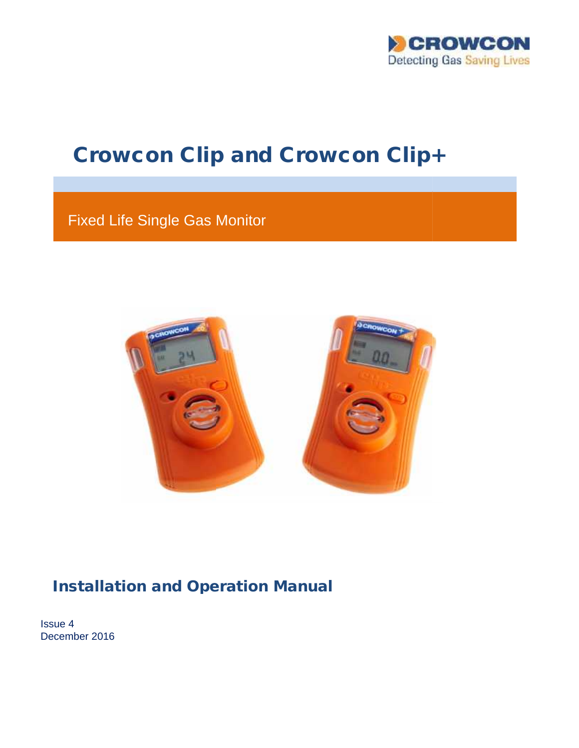

# Crowcon Clip and Crowcon Clip+

Fixed Life Single Gas Monitor Life Single Gas



### **Installation and Operation Manual**

Issue 4 4December 2016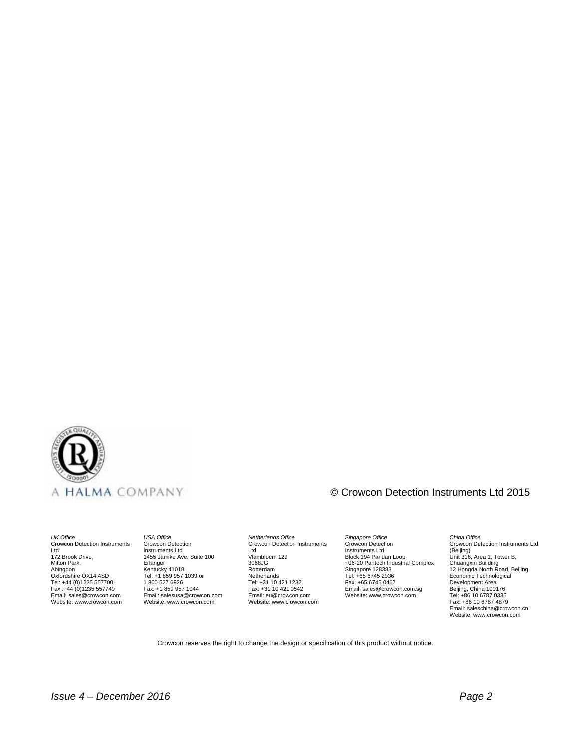

#### © Crowcon Detection Instruments Ltd 2015

*UK Office* Crowcon Detection Instruments Ltd 172 Brook Drive, Milton Park, Abingdon Oxfordshire OX14 4SD Tel: +44 (0)1235 557700 Fax :+44 (0)1235 557749 Email: sales@crowcon.com Website: www.crowcon.com

*USA Office* Crowcon Detection Instruments Ltd 1455 Jamike Ave, Suite 100 Erlanger Kentucky 41018<br>Tel: +1 859 957 1039 or 1 800 527 6926 Fax: +1 859 957 1044 Email: salesusa@crowcon.com Website: www.crowcon.com

*Netherlands Office* Crowcon Detection Instruments Ltd<br>Vlambloem 129 3068JG Rotterdam Netherlands Tel: +31 10 421 1232 Fax: +31 10 421 0542 Email: eu@crowcon.com Website: www.crowcon.com

*Singapore Office* Crowcon Detection Instruments Ltd<br>Block 194 Pandan Loop ~06-20 Pantech Industrial Complex Singapore 128383 Tel: +65 6745 2936 Fax: +65 6745 0467 Email: sales@crowcon.com.sg Website: www.crowcon.com

*China Office* Crowcon Detection Instruments Ltd (Beijing) Unit 316, Area 1, Tower B, Chuangxin Building 12 Hongda North Road, Beijing Economic Technological Development Area Beijing, China 100176 Tel: +86 10 6787 0335 Fax: +86 10 6787 4879 Email: saleschina@crowcon.cn Website: www.crowcon.com

Crowcon reserves the right to change the design or specification of this product without notice.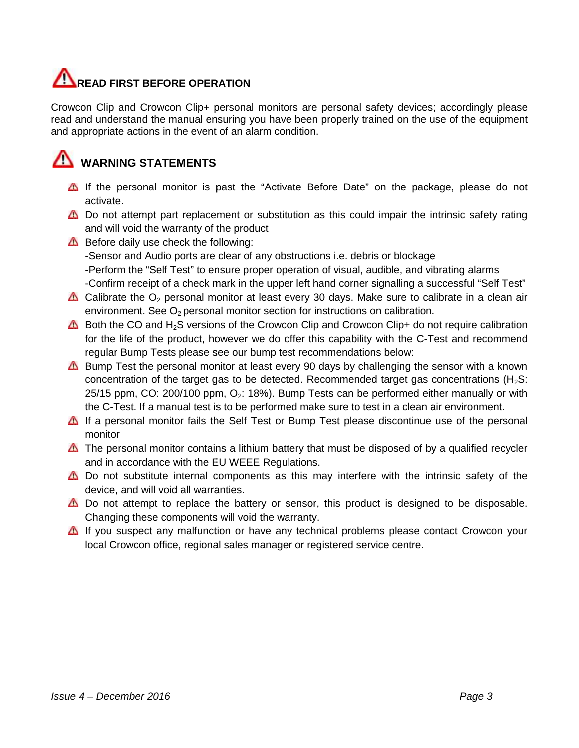## **READ FIRST BEFORE OPERATION**

Crowcon Clip and Crowcon Clip+ personal monitors are personal safety devices; accordingly please read and understand the manual ensuring you have been properly trained on the use of the equipment and appropriate actions in the event of an alarm condition.

## **WARNING STATEMENTS**

- If the personal monitor is past the "Activate Before Date" on the package, please do not activate.
- Do not attempt part replacement or substitution as this could impair the intrinsic safety rating<br>and will void the warranty of the product and will void the warranty of the product
- Before daily use check the following:

-Sensor and Audio ports are clear of any obstructions i.e. debris or blockage -Perform the "Self Test" to ensure proper operation of visual, audible, and vibrating alarms -Confirm receipt of a check mark in the upper left hand corner signalling a successful "Self Test"

- Calibrate the  $O_2$  personal monitor at least every 30 days. Make sure to calibrate in a clean air environment. See  $O<sub>2</sub>$  personal monitor section for instructions on calibration. receipt of a check mark in the upper left hand corner signalling a successful "S<br>the  $O_2$  personal monitor at least every 30 days. Make sure to calibrate in a<br>ent. See  $O_2$  personal monitor section for instructions on c
- **△** Both the CO and H<sub>2</sub>S versions of the Crowcon Clip and Crowcon Clip+ do not require calibration for the life of the product, however we do offer this capability with the C-Test and recommend regular Bump Tests please see our bump test recommendations below:
- Bump Test the personal monitor at least every 90 days by challenging the sensor with a known concentration of the target gas to be detected. Recommended target gas concentrations  $(H_2S)$ :  $25/15$  ppm, CO: 200/100 ppm, O<sub>2</sub>: 18%). Bump Tests can be performed either manually or with the C-Test. If a manual test is to be performed make sure to test in a clean air environment. **CANEAP IPREST BEFORE DEFIRMATION** controllation are personal anterior in the anisotropy declease and understand the manual ensuing you have been properly trained on the alse of the equipment and understand the manual ens Bump Tests please see our bump test recommendations below:<br>'est the personal monitor at least every 90 days by challenging the sensor with a known<br>:ration of the target gas to be detected. Recommended target gas concentrat
	- **A** If a personal monitor fails the Self Test or Bump Test please discontinue use of the personal monitor 25/15 ppm, CO: 200/100 ppm, O<sub>2</sub>: 18%). Bump Tests can be performed either manually or with<br>the C-Test. If a manual test is to be performed make sure to test in a clean air environment.<br>If a personal monitor fails the Self
	- $\triangle$  The personal monitor contains a lithium battery that must be disposed of by a qualified recycler and in accordance with the EU WEEE Regulations.
	- $\triangle$  Do not substitute internal components as this may interfere with the intrinsic safety of the device, and will void all warranties.
	- △ Do not attempt to replace the battery or sensor, this product is designed to be disposable. Changing these components will void the warranty.
	- If you suspect any malfunction or have any technical problems please contact Crowcon your local Crowcon office, regional sales manager or registered service centre.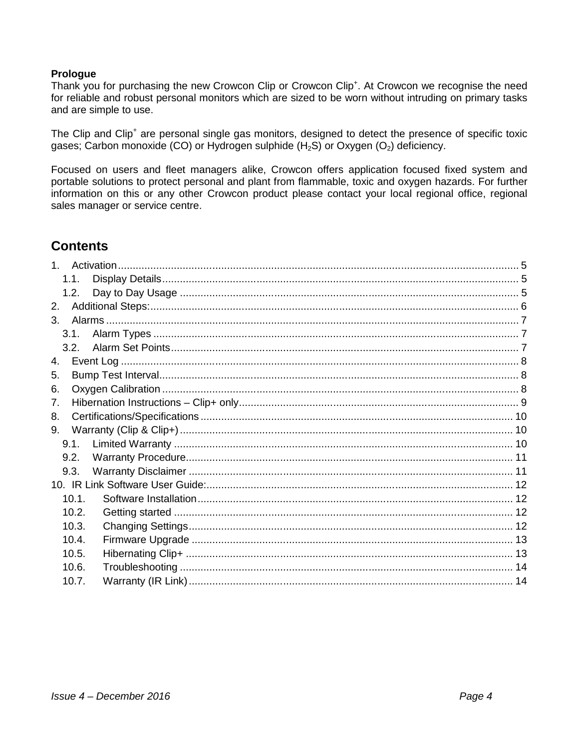#### **Prologue**

Thank you for purchasing the new Crowcon Clip or Crowcon Clip<sup>+</sup>. At Crowcon we recognise the need for reliable and robust personal monitors which are sized to be worn without intruding on primary tasks and are simple to use.

The Clip and Clip<sup>+</sup> are personal single gas monitors, designed to detect the presence of specific toxic gases; Carbon monoxide (CO) or Hydrogen sulphide  $(H_2S)$  or Oxygen (O<sub>2</sub>) deficiency.

Focused on users and fleet managers alike, Crowcon offers application focused fixed system and portable solutions to protect personal and plant from flammable, toxic and oxygen hazards. For further information on this or any other Crowcon product please contact your local regional office, regional sales manager or service centre.

### **Contents**

|    | 1.1.  |  |
|----|-------|--|
|    | 1.2.  |  |
| 2. |       |  |
| 3. |       |  |
|    | 3.1.  |  |
|    | 3.2.  |  |
| 4. |       |  |
| 5. |       |  |
| 6. |       |  |
| 7. |       |  |
| 8. |       |  |
| 9. |       |  |
|    | 9.1.  |  |
|    | 9.2.  |  |
|    | 9.3.  |  |
|    |       |  |
|    | 10.1. |  |
|    | 10.2. |  |
|    | 10.3. |  |
|    | 10.4. |  |
|    | 10.5. |  |
|    | 10.6. |  |
|    | 10.7. |  |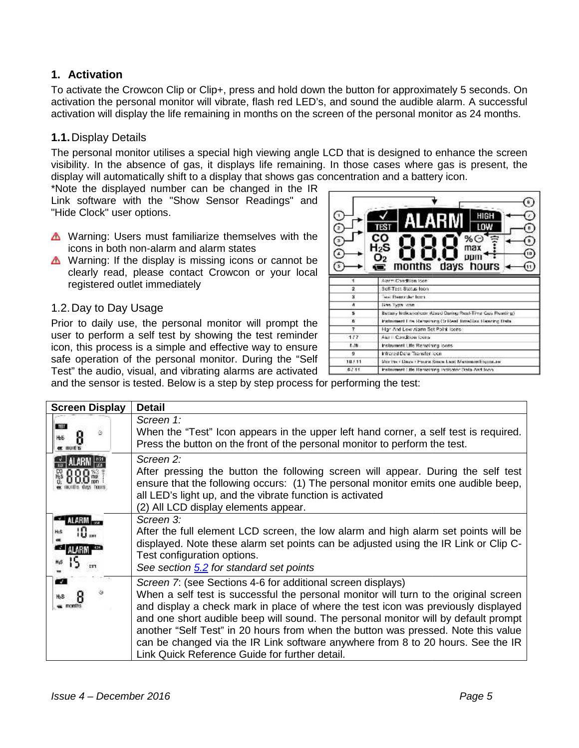#### **1. Activation**

#### **1.1.**Display Details

- **A** Warning: Users must familiarize themselves with the icons in both non-alarm and alarm states
- $\triangle$  Warning: If the display is missing icons or cannot be clearly read, please contact Crowcon or your local registered outlet immediately

#### 1.2.Day to Day Usage

| R                       | ø<br>HIGH<br>LOW<br>TES 1<br>co<br>%0<br>$H_2S$<br>max<br>O2<br>DDII<br>days hours<br>months |  |  |  |
|-------------------------|----------------------------------------------------------------------------------------------|--|--|--|
|                         | Alarm Condition Icon                                                                         |  |  |  |
| $\overline{2}$          | Self-Test Status foon                                                                        |  |  |  |
| š                       | ses Bancridar hom-                                                                           |  |  |  |
| $\boldsymbol{A}$        | line lype con-                                                                               |  |  |  |
| 5                       | Bettery Indicated con: (Used Daring Real-Time Cas. Reading)                                  |  |  |  |
| n.                      | Instrument Lite Remaining Or Real TimeGax Resourc Data                                       |  |  |  |
| $\overline{\mathbf{r}}$ | Har And Low Alarm Set Point Icens                                                            |  |  |  |
| 1/7                     | Aiar E. Condition found                                                                      |  |  |  |
| 1. /新                   | Instrument Life Renaining loans                                                              |  |  |  |
| ŋ,                      | Infrared Detail Transfer Joon.                                                               |  |  |  |
| 18311                   | Monitor / Days / Found Smow Last Maximum Exposure                                            |  |  |  |
| 67.11                   | Instrument Life Remaining incloated Data And Iron.                                           |  |  |  |

|                                                                             |                                                                                                                                                                                                                                                                                                                                                                                                                                                                                                                                                                                                                                                                                                                                                                                                                                                                          | To activate the Crowcon Clip or Clip+, press and hold down the button for approximately 5 seconds. On<br>activation the personal monitor will vibrate, flash red LED's, and sound the audible alarm. A successful<br>activation will display the life remaining in months on the screen of the personal monitor as 24 months.                                                                                                                                                                                                                                                                                                                                                                                                                                                                                                                                                                                                               |
|-----------------------------------------------------------------------------|--------------------------------------------------------------------------------------------------------------------------------------------------------------------------------------------------------------------------------------------------------------------------------------------------------------------------------------------------------------------------------------------------------------------------------------------------------------------------------------------------------------------------------------------------------------------------------------------------------------------------------------------------------------------------------------------------------------------------------------------------------------------------------------------------------------------------------------------------------------------------|---------------------------------------------------------------------------------------------------------------------------------------------------------------------------------------------------------------------------------------------------------------------------------------------------------------------------------------------------------------------------------------------------------------------------------------------------------------------------------------------------------------------------------------------------------------------------------------------------------------------------------------------------------------------------------------------------------------------------------------------------------------------------------------------------------------------------------------------------------------------------------------------------------------------------------------------|
| 1.1. Display Details<br>"Hide Clock" user options.<br>1.2. Day to Day Usage | display will automatically shift to a display that shows gas concentration and a battery icon.<br>*Note the displayed number can be changed in the IR<br>Link software with the "Show Sensor Readings" and<br>▲ Warning: Users must familiarize themselves with the<br>icons in both non-alarm and alarm states<br>▲ Warning: If the display is missing icons or cannot be<br>clearly read, please contact Crowcon or your local<br>registered outlet immediately<br>Prior to daily use, the personal monitor will prompt the<br>user to perform a self test by showing the test reminder<br>icon, this process is a simple and effective way to ensure<br>safe operation of the personal monitor. During the "Self<br>Test" the audio, visual, and vibrating alarms are activated<br>and the sensor is tested. Below is a step by step process for performing the test: | The personal monitor utilises a special high viewing angle LCD that is designed to enhance the screen<br>visibility. In the absence of gas, it displays life remaining. In those cases where gas is present, the<br>$\mathbf{B}$<br>нісн<br>l nw<br>B<br>CO<br>70 C<br>$\theta$ .<br>H2S<br>$\left( n\right)$<br>days hours<br>months<br>11)<br><b>Alarm Condition Ison</b><br>$\overline{\mathbf{2}}$<br>Self-Test Status foon<br>s<br>ses Hentrider hom-<br>$\boldsymbol{A}$<br>line lype con<br>5<br>Bettery Indicated can itles of Daning Real-Time Cas. Reading).<br>n.<br>Instrument Line Remaining Or Real TimeGax Resoing Data<br>$\mathbf{z}$<br>High And Low Alarm Set Point Isons<br>1/7<br>Aler E Candition forms<br>0.78<br>Instrument Life Remaining loans<br>ø<br>Infrared Detail Transfer Joon<br>18, 11<br>Monitor / Days / Found Smow Last Maximum Exposure<br>67.11<br>Instrument Life Remaining Indicator Data And Iron |
| <b>Screen Display</b><br><b>TEL</b><br>ΗЬΕ<br>ö<br><b>er</b> months         | <b>Detail</b><br>Screen 1:<br>Press the button on the front of the personal monitor to perform the test.                                                                                                                                                                                                                                                                                                                                                                                                                                                                                                                                                                                                                                                                                                                                                                 | When the "Test" Icon appears in the upper left hand corner, a self test is required.                                                                                                                                                                                                                                                                                                                                                                                                                                                                                                                                                                                                                                                                                                                                                                                                                                                        |
| months days figure                                                          | Screen 2:<br>all LED's light up, and the vibrate function is activated<br>(2) All LCD display elements appear.                                                                                                                                                                                                                                                                                                                                                                                                                                                                                                                                                                                                                                                                                                                                                           | After pressing the button the following screen will appear. During the self test<br>ensure that the following occurs: (1) The personal monitor emits one audible beep,                                                                                                                                                                                                                                                                                                                                                                                                                                                                                                                                                                                                                                                                                                                                                                      |
| ALARM <b>A</b><br>117                                                       | Screen 3:<br>Test configuration options.<br>See section 5.2 for standard set points                                                                                                                                                                                                                                                                                                                                                                                                                                                                                                                                                                                                                                                                                                                                                                                      | After the full element LCD screen, the low alarm and high alarm set points will be<br>displayed. Note these alarm set points can be adjusted using the IR Link or Clip C-                                                                                                                                                                                                                                                                                                                                                                                                                                                                                                                                                                                                                                                                                                                                                                   |
| $\overline{v}$<br>months                                                    | Screen 7: (see Sections 4-6 for additional screen displays)<br>Link Quick Reference Guide for further detail.                                                                                                                                                                                                                                                                                                                                                                                                                                                                                                                                                                                                                                                                                                                                                            | When a self test is successful the personal monitor will turn to the original screen<br>and display a check mark in place of where the test icon was previously displayed<br>and one short audible beep will sound. The personal monitor will by default prompt<br>another "Self Test" in 20 hours from when the button was pressed. Note this value<br>can be changed via the IR Link software anywhere from 8 to 20 hours. See the IR                                                                                                                                                                                                                                                                                                                                                                                                                                                                                                     |
| Issue $4 - December 2016$                                                   |                                                                                                                                                                                                                                                                                                                                                                                                                                                                                                                                                                                                                                                                                                                                                                                                                                                                          | Page 5                                                                                                                                                                                                                                                                                                                                                                                                                                                                                                                                                                                                                                                                                                                                                                                                                                                                                                                                      |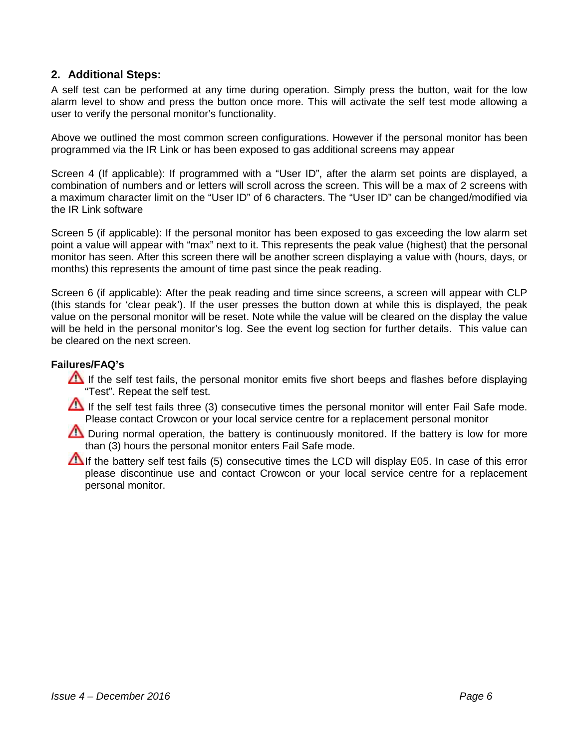#### **2. Additional Steps:**

A self test can be performed at any time during operation. Simply press the button, wait for the low alarm level to show and press the button once more. This will activate the self test mode allowing a user to verify the personal monitor's functionality.

Above we outlined the most common screen configurations. However if the personal monitor has been programmed via the IR Link or has been exposed to gas additional screens may appear

Screen 4 (If applicable): If programmed with a "User ID", after the alarm set points are displayed, a combination of numbers and or letters will scroll across the screen. This will be a max of 2 screens with a maximum character limit on the "User ID" of 6 characters. The "User ID" can be changed/modified via the IR Link software

Screen 5 (if applicable): If the personal monitor has been exposed to gas exceeding the low alarm set point a value will appear with "max" next to it. This represents the peak value (highest) that the personal monitor has seen. After this screen there will be another screen displaying a value with (hours, days, or months) this represents the amount of time past since the peak reading.

Screen 6 (if applicable): After the peak reading and time since screens, a screen will appear with CLP (this stands for 'clear peak'). If the user presses the button down at while this is displayed, the peak value on the personal monitor will be reset. Note while the value will be cleared on the display the value will be held in the personal monitor's log. See the event log section for further details. This value can be cleared on the next screen.

#### **Failures/FAQ's**

- If the self test fails, the personal monitor emits five short beeps and flashes before displaying "Test". Repeat the self test.
- If the self test fails three (3) consecutive times the personal monitor will enter Fail Safe mode. Please contact Crowcon or your local service centre for a replacement personal monitor
- During normal operation, the battery is continuously monitored. If the battery is low for more than (3) hours the personal monitor enters Fail Safe mode.
- If the battery self test fails (5) consecutive times the LCD will display E05. In case of this error please discontinue use and contact Crowcon or your local service centre for a replacement personal monitor.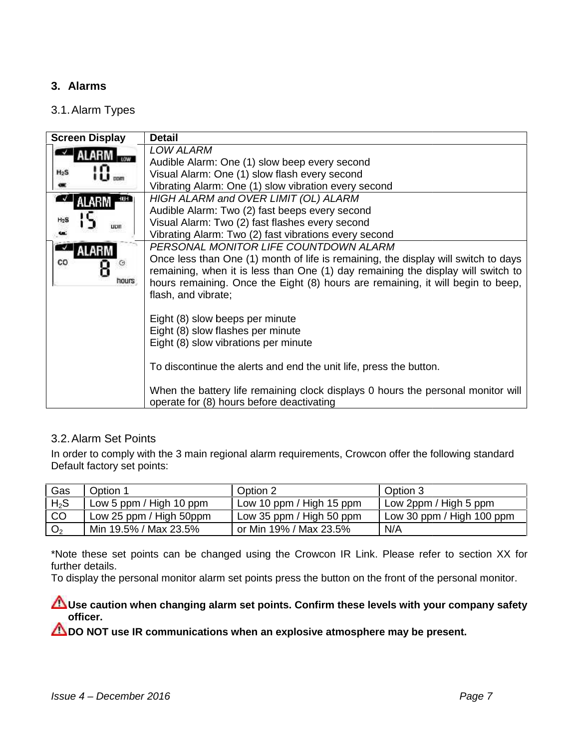#### **3. Alarms**

#### 3.1.Alarm Types

|                              | 3.1. Alarm Types                                                                                 |                                                                                                                                  |                                                                                                                                                                                                                                                                                                                                                                                                       |                                                                                                                                                                                                                                                           |
|------------------------------|--------------------------------------------------------------------------------------------------|----------------------------------------------------------------------------------------------------------------------------------|-------------------------------------------------------------------------------------------------------------------------------------------------------------------------------------------------------------------------------------------------------------------------------------------------------------------------------------------------------------------------------------------------------|-----------------------------------------------------------------------------------------------------------------------------------------------------------------------------------------------------------------------------------------------------------|
| H <sub>2</sub> S<br>co       | <b>Screen Display</b><br>ALARM<br><b>DDATE</b><br>$-103 + 1$<br>ALARM<br>LICIT<br>ALARM<br>hours | <b>Detail</b><br><b>LOW ALARM</b><br>flash, and vibrate;<br>Eight (8) slow beeps per minute<br>Eight (8) slow flashes per minute | Audible Alarm: One (1) slow beep every second<br>Visual Alarm: One (1) slow flash every second<br>Vibrating Alarm: One (1) slow vibration every second<br>HIGH ALARM and OVER LIMIT (OL) ALARM<br>Audible Alarm: Two (2) fast beeps every second<br>Visual Alarm: Two (2) fast flashes every second<br>Vibrating Alarm: Two (2) fast vibrations every second<br>PERSONAL MONITOR LIFE COUNTDOWN ALARM | Once less than One (1) month of life is remaining, the display will switch to days<br>remaining, when it is less than One (1) day remaining the display will switch to<br>hours remaining. Once the Eight (8) hours are remaining, it will begin to beep, |
|                              |                                                                                                  | Eight (8) slow vibrations per minute                                                                                             | To discontinue the alerts and end the unit life, press the button.<br>operate for (8) hours before deactivating                                                                                                                                                                                                                                                                                       | When the battery life remaining clock displays 0 hours the personal monitor will                                                                                                                                                                          |
| Gas                          | 3.2. Alarm Set Points<br>Default factory set points:<br>Option 1                                 |                                                                                                                                  | In order to comply with the 3 main regional alarm requirements, Crowcon offer the following standard<br>Option 2                                                                                                                                                                                                                                                                                      | Option 3                                                                                                                                                                                                                                                  |
|                              |                                                                                                  |                                                                                                                                  |                                                                                                                                                                                                                                                                                                                                                                                                       |                                                                                                                                                                                                                                                           |
| $H_2S$                       |                                                                                                  | Low 5 ppm / High 10 ppm                                                                                                          | Low 10 ppm / High 15 ppm                                                                                                                                                                                                                                                                                                                                                                              | Low 2ppm / High 5 ppm                                                                                                                                                                                                                                     |
| CO<br>O <sub>2</sub>         |                                                                                                  | Low 25 ppm / High 50ppm<br>Min 19.5% / Max 23.5%                                                                                 | Low 35 ppm / High 50 ppm<br>or Min 19% / Max 23.5%                                                                                                                                                                                                                                                                                                                                                    | Low 30 ppm / High 100 ppm<br>N/A                                                                                                                                                                                                                          |
| further details.<br>officer. |                                                                                                  |                                                                                                                                  | To display the personal monitor alarm set points press the button on the front of the personal monitor.<br>DO NOT use IR communications when an explosive atmosphere may be present.                                                                                                                                                                                                                  | *Note these set points can be changed using the Crowcon IR Link. Please refer to section XX for<br>Use caution when changing alarm set points. Confirm these levels with your company safety                                                              |
|                              | Issue $4 - December 2016$                                                                        |                                                                                                                                  |                                                                                                                                                                                                                                                                                                                                                                                                       | Page 7                                                                                                                                                                                                                                                    |

#### 3.2.Alarm Set Points

| Gas            | Option 1                | Option 2                 | Option 3                  |
|----------------|-------------------------|--------------------------|---------------------------|
| $H_2S$         | Low 5 ppm / High 10 ppm | Low 10 ppm / High 15 ppm | Low 2ppm / High 5 ppm     |
| CO             | Low 25 ppm / High 50ppm | Low 35 ppm / High 50 ppm | Low 30 ppm / High 100 ppm |
| O <sub>2</sub> | Min 19.5% / Max 23.5%   | or Min 19% / Max 23.5%   | N/A                       |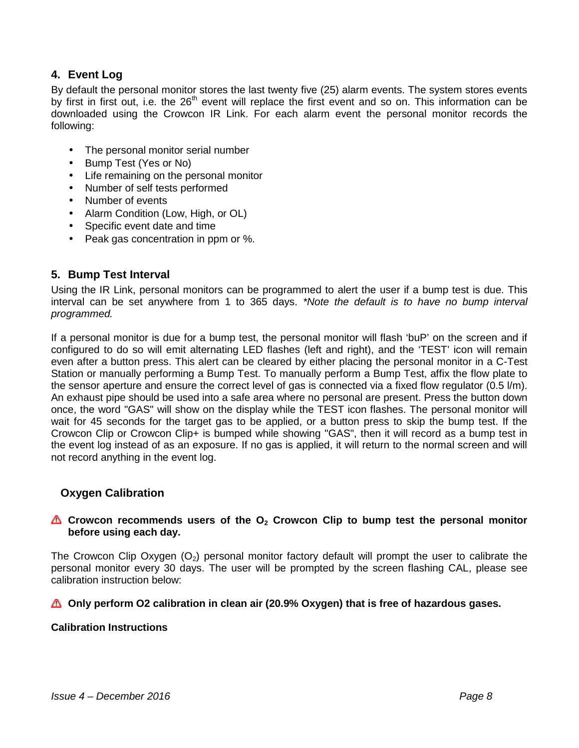#### **4. Event Log**

By default the personal monitor stores the last twenty five (25) alarm events. The system stores events by first in first out, i.e. the  $26<sup>th</sup>$  event will replace the first event and so on. This information can be downloaded using the Crowcon IR Link. For each alarm event the personal monitor records the following:

- The personal monitor serial number
- Bump Test (Yes or No)
- Life remaining on the personal monitor
- Number of self tests performed
- Number of events
- Alarm Condition (Low, High, or OL)
- Specific event date and time
- Peak gas concentration in ppm or %.

#### **5. Bump Test Interval**

Using the IR Link, personal monitors can be programmed to alert the user if a bump test is due. This interval can be set anywhere from 1 to 365 days. *\*Note the default is to have no bump interval programmed.*

If a personal monitor is due for a bump test, the personal monitor will flash 'buP' on the screen and if configured to do so will emit alternating LED flashes (left and right), and the 'TEST' icon will remain even after a button press. This alert can be cleared by either placing the personal monitor in a C-Test Station or manually performing a Bump Test. To manually perform a Bump Test, affix the flow plate to the sensor aperture and ensure the correct level of gas is connected via a fixed flow regulator (0.5 l/m). An exhaust pipe should be used into a safe area where no personal are present. Press the button down once, the word "GAS" will show on the display while the TEST icon flashes. The personal monitor will wait for 45 seconds for the target gas to be applied, or a button press to skip the bump test. If the Crowcon Clip or Crowcon Clip+ is bumped while showing "GAS", then it will record as a bump test in the event log instead of as an exposure. If no gas is applied, it will return to the normal screen and will not record anything in the event log.

#### **Oxygen Calibration**

#### **Crowcon recommends users of the O<sup>2</sup> Crowcon Clip to bump test the personal monitor before using each day.**

The Crowcon Clip Oxygen  $(O_2)$  personal monitor factory default will prompt the user to calibrate the personal monitor every 30 days. The user will be prompted by the screen flashing CAL, please see calibration instruction below:

#### **Only perform O2 calibration in clean air (20.9% Oxygen) that is free of hazardous gases.**

#### **Calibration Instructions**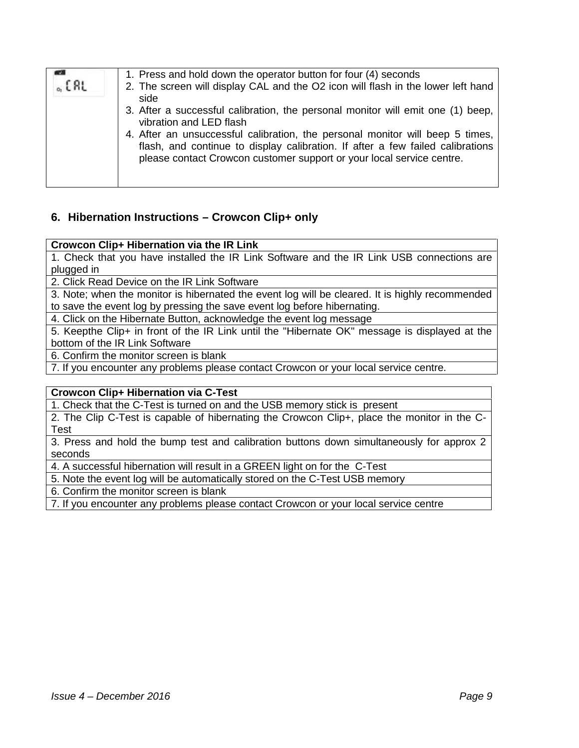| 1. Press and hold down the operator button for four (4) seconds<br>. C RL<br>2. The screen will display CAL and the O2 icon will flash in the lower left hand<br>side<br>3. After a successful calibration, the personal monitor will emit one (1) beep,<br>vibration and LED flash<br>4. After an unsuccessful calibration, the personal monitor will beep 5 times,<br>flash, and continue to display calibration. If after a few failed calibrations<br>please contact Crowcon customer support or your local service centre. |
|---------------------------------------------------------------------------------------------------------------------------------------------------------------------------------------------------------------------------------------------------------------------------------------------------------------------------------------------------------------------------------------------------------------------------------------------------------------------------------------------------------------------------------|
|---------------------------------------------------------------------------------------------------------------------------------------------------------------------------------------------------------------------------------------------------------------------------------------------------------------------------------------------------------------------------------------------------------------------------------------------------------------------------------------------------------------------------------|

#### **6. Hibernation Instructions – Crowcon Clip+ only**

#### **Crowcon Clip+ Hibernation via the IR Link**

1. Check that you have installed the IR Link Software and the IR Link USB connections are plugged in

2. Click Read Device on the IR Link Software

3. Note; when the monitor is hibernated the event log will be cleared. It is highly recommended to save the event log by pressing the save event log before hibernating.

4. Click on the Hibernate Button, acknowledge the event log message

5. Keepthe Clip+ in front of the IR Link until the "Hibernate OK" message is displayed at the bottom of the IR Link Software

6. Confirm the monitor screen is blank

7. If you encounter any problems please contact Crowcon or your local service centre.

#### **Crowcon Clip+ Hibernation via C-Test**

1. Check that the C-Test is turned on and the USB memory stick is present

2. The Clip C-Test is capable of hibernating the Crowcon Clip+, place the monitor in the C- Test

3. Press and hold the bump test and calibration buttons down simultaneously for approx 2 seconds

4. A successful hibernation will result in a GREEN light on for the C-Test

5. Note the event log will be automatically stored on the C-Test USB memory

6. Confirm the monitor screen is blank

7. If you encounter any problems please contact Crowcon or your local service centre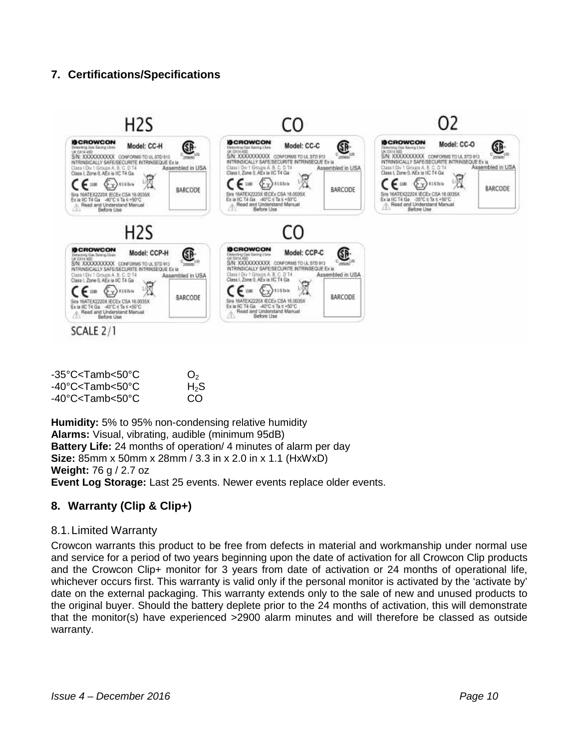#### **7. Certifications/Specifications**



| -35°C <tamb<50°c< th=""><th>O<sub>2</sub></th></tamb<50°c<>     | O <sub>2</sub> |
|-----------------------------------------------------------------|----------------|
| -40°C <tamb<50°c< td=""><td><math>H_2S</math></td></tamb<50°c<> | $H_2S$         |
| -40°C <tamb<50°c< td=""><td>CO.</td></tamb<50°c<>               | CO.            |

**Humidity:** 5% to 95% non-condensing relative humidity **Alarms:** Visual, vibrating, audible (minimum 95dB) **Battery Life:** 24 months of operation/ 4 minutes of alarm per day **Size:** 85mm x 50mm x 28mm / 3.3 in x 2.0 in x 1.1 (HxWxD) **Weight:** 76 g / 2.7 oz **Alarms:** Visual, vibrating, audible (minimum 95dB)<br>**Battery Life:** 24 months of operation/ 4 minutes of alarm per day<br>**Size:** 85mm x 50mm x 28mm / 3.3 in x 2.0 in x 1.1 (HxWxD)<br>**Weight:** 76 g / 2.7 oz<br>**Event Log Storage:** 

#### **8. Warranty (Clip & Clip+)**

#### 8.1.Limited Warranty Warranty

Crowcon warrants this product to be free from defects in material and workmanship under normal use and service for a period of two years beginning upon the date of activation for all Crowcon Clip products and the Crowcon Clip+ monitor for 3 years from date of activation or 24 months of operational life, whichever occurs first. This warranty is valid only if the personal monitor is activated by the 'activate by' date on the external packaging. This warranty extends only to the sale of new and unused products to the original buyer. Should the battery deplete prior to the 24 months of activation, this will demonstrate that the monitor(s) have experienced >2900 alarm minutes and will therefore be classed as outside warranty. Crowcon warrants this product to be free from defects in material and workmanship unde<br>and service for a period of two years beginning upon the date of activation for all Crowcon<br>and the Crowcon Clip+ monitor for 3 years f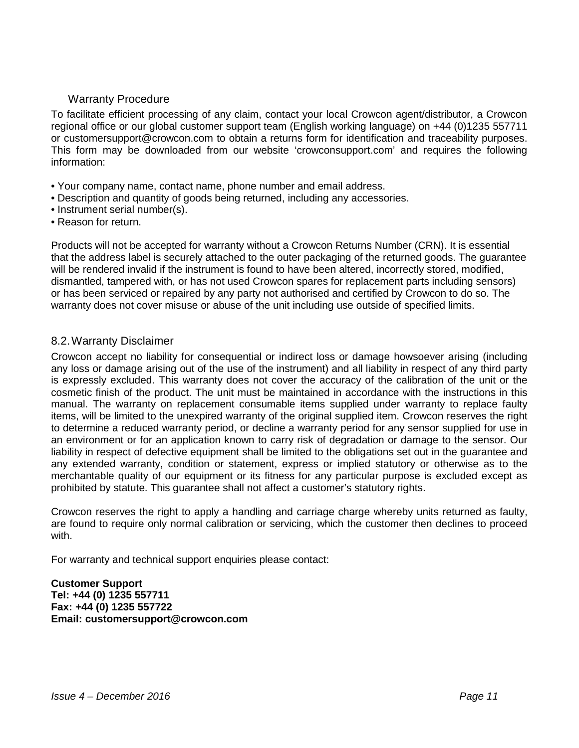#### Warranty Procedure

To facilitate efficient processing of any claim, contact your local Crowcon agent/distributor, a Crowcon regional office or our global customer support team (English working language) on +44 (0)1235 557711 or customersupport@crowcon.com to obtain a returns form for identification and traceability purposes. This form may be downloaded from our website 'crowconsupport.com' and requires the following information:

- Your company name, contact name, phone number and email address.
- Description and quantity of goods being returned, including any accessories.
- Instrument serial number(s).
- Reason for return.

Products will not be accepted for warranty without a Crowcon Returns Number (CRN). It is essential that the address label is securely attached to the outer packaging of the returned goods. The guarantee will be rendered invalid if the instrument is found to have been altered, incorrectly stored, modified, dismantled, tampered with, or has not used Crowcon spares for replacement parts including sensors) or has been serviced or repaired by any party not authorised and certified by Crowcon to do so. The warranty does not cover misuse or abuse of the unit including use outside of specified limits.

#### 8.2.Warranty Disclaimer

Crowcon accept no liability for consequential or indirect loss or damage howsoever arising (including any loss or damage arising out of the use of the instrument) and all liability in respect of any third party is expressly excluded. This warranty does not cover the accuracy of the calibration of the unit or the cosmetic finish of the product. The unit must be maintained in accordance with the instructions in this manual. The warranty on replacement consumable items supplied under warranty to replace faulty items, will be limited to the unexpired warranty of the original supplied item. Crowcon reserves the right to determine a reduced warranty period, or decline a warranty period for any sensor supplied for use in an environment or for an application known to carry risk of degradation or damage to the sensor. Our liability in respect of defective equipment shall be limited to the obligations set out in the guarantee and any extended warranty, condition or statement, express or implied statutory or otherwise as to the merchantable quality of our equipment or its fitness for any particular purpose is excluded except as prohibited by statute. This guarantee shall not affect a customer's statutory rights.

Crowcon reserves the right to apply a handling and carriage charge whereby units returned as faulty, are found to require only normal calibration or servicing, which the customer then declines to proceed with.

For warranty and technical support enquiries please contact:

#### **Customer Support Tel: +44 (0) 1235 557711 Fax: +44 (0) 1235 557722 Email: customersupport@crowcon.com**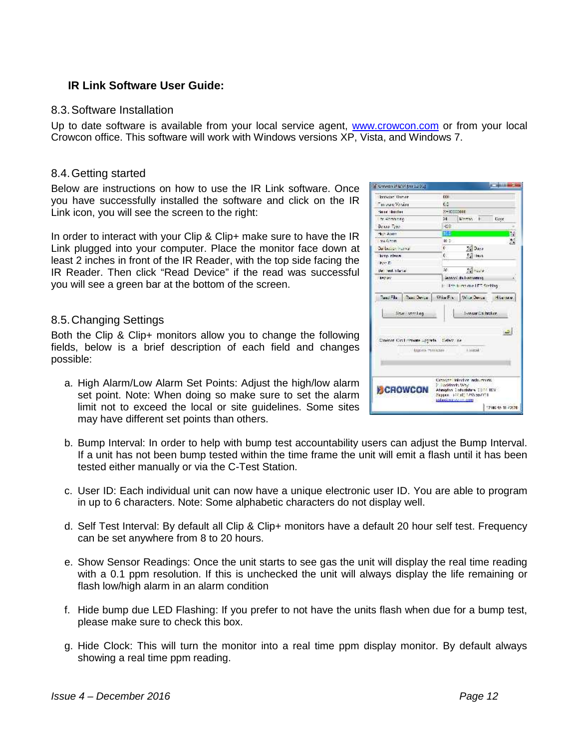#### **IR Link Software User Guide:**

#### 8.3.Software Installation

Up to date software is available from your local service agent, www.crowcon.com or from your local Crowcon office. This software will work with Windows versions XP, Vista, and Windows 7.

#### 8.4.Getting started

Below are instructions on how to use the IR Link software. Once you have successfully installed the software and click on the IR Link icon, you will see the screen to the right:

In order to interact with your Clip & Clip+ make sure to have the IR Link plugged into your computer. Place the monitor face down at least 2 inches in front of the IR Reader, with the top side facing the IR Reader. Then click "Read Device" if the read was successful you will see a green bar at the bottom of the screen.

#### 8.5.Changing Settings

Both the Clip & Clip+ monitors allow you to change the following fields, below is a brief description of each field and changes possible:

- a. High Alarm/Low Alarm Set Points: Adjust the high/low alarm set point. Note: When doing so make sure to set the alarm limit not to exceed the local or site guidelines. Some sites may have different set points than others.
- b. Bump Interval: In order to help with bump test accountability users can adjust the Bump Interval. If a unit has not been bump tested within the time frame the unit will emit a flash until it has been tested either manually or via the C-Test Station.
- c. User ID: Each individual unit can now have a unique electronic user ID. You are able to program in up to 6 characters. Note: Some alphabetic characters do not display well.
- d. Self Test Interval: By default all Clip & Clip+ monitors have a default 20 hour self test. Frequency can be set anywhere from 8 to 20 hours.
- e. Show Sensor Readings: Once the unit starts to see gas the unit will display the real time reading with a 0.1 ppm resolution. If this is unchecked the unit will always display the life remaining or flash low/high alarm in an alarm condition
- f. Hide bump due LED Flashing: If you prefer to not have the units flash when due for a bump test, please make sure to check this box.
- g. Hide Clock: This will turn the monitor into a real time ppm display monitor. By default always showing a real time ppm reading.

| Crowdon 34 BNV hvor 12 0 St                                                        |                                                                                                                                             |
|------------------------------------------------------------------------------------|---------------------------------------------------------------------------------------------------------------------------------------------|
| Invictor Venture                                                                   | $\alpha$                                                                                                                                    |
| money Vesino                                                                       | 65                                                                                                                                          |
| Send Shirley                                                                       | <b>SHIDOODER</b>                                                                                                                            |
| to Account of                                                                      | Member 10<br>24.<br>Dave                                                                                                                    |
| Being Tree                                                                         | HOS                                                                                                                                         |
| the Asim                                                                           | <b>IM</b>                                                                                                                                   |
| <b>MA GOVER</b>                                                                    | i.<br>Z<br>$10-$                                                                                                                            |
| Surface and worker                                                                 | e.<br>$\frac{1}{\sqrt{4}}$ Days                                                                                                             |
| hire rives.                                                                        | $\frac{1}{2}$ lays<br>¢.                                                                                                                    |
| ky-D                                                                               |                                                                                                                                             |
| See led a factor                                                                   | se.<br>Z                                                                                                                                    |
| <b>JOSTAN</b>                                                                      | <b>Washington Professor</b>                                                                                                                 |
| line weaker.<br>Constant Card Homsons Lippinels (Calver, als)<br>- адробь танклан- | beneze Calibration.<br>a.<br><b>Acard</b>                                                                                                   |
| CHOWCON                                                                            | Current Intecher Industry of<br>2 liaz Maryla West<br>Abangdon Coduntation Code HOV<br>Support 144 (0) 1235 per COL<br>sales/2010/2020 0101 |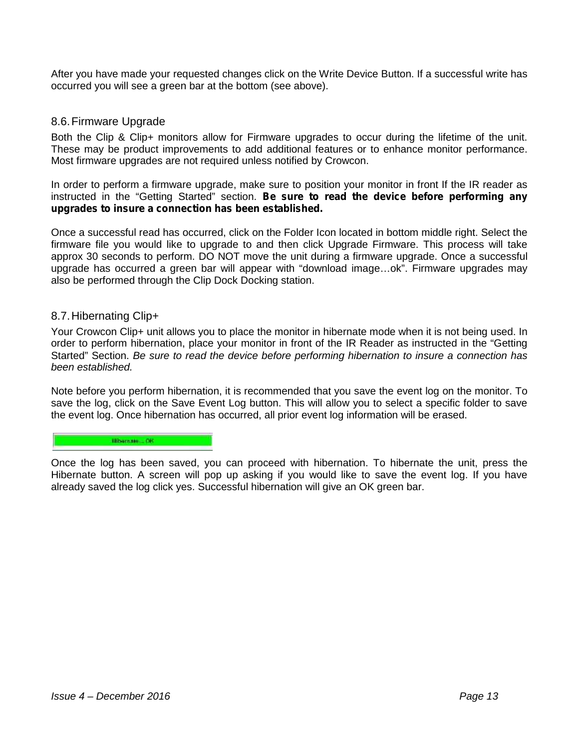After you have made your requested changes click on the Write Device Button. If a successful write has occurred you will see a green bar at the bottom (see above).

#### 8.6.Firmware Upgrade

Both the Clip & Clip+ monitors allow for Firmware upgrades to occur during the lifetime of the unit. These may be product improvements to add additional features or to enhance monitor performance. Most firmware upgrades are not required unless notified by Crowcon.

In order to perform a firmware upgrade, make sure to position your monitor in front If the IR reader as instructed in the "Getting Started" section. *Be sure to read the device before performing any upgrades to insure a connection has been established.*

Once a successful read has occurred, click on the Folder Icon located in bottom middle right. Select the firmware file you would like to upgrade to and then click Upgrade Firmware. This process will take approx 30 seconds to perform. DO NOT move the unit during a firmware upgrade. Once a successful upgrade has occurred a green bar will appear with "download image…ok". Firmware upgrades may also be performed through the Clip Dock Docking station.

#### 8.7.Hibernating Clip+

Your Crowcon Clip+ unit allows you to place the monitor in hibernate mode when it is not being used. In order to perform hibernation, place your monitor in front of the IR Reader as instructed in the "Getting Started" Section. *Be sure to read the device before performing hibernation to insure a connection has been established.*

Note before you perform hibernation, it is recommended that you save the event log on the monitor. To save the log, click on the Save Event Log button. This will allow you to select a specific folder to save the event log. Once hibernation has occurred, all prior event log information will be erased.

#### **Hibarnate:** OR

Once the log has been saved, you can proceed with hibernation. To hibernate the unit, press the Hibernate button. A screen will pop up asking if you would like to save the event log. If you have already saved the log click yes. Successful hibernation will give an OK green bar.